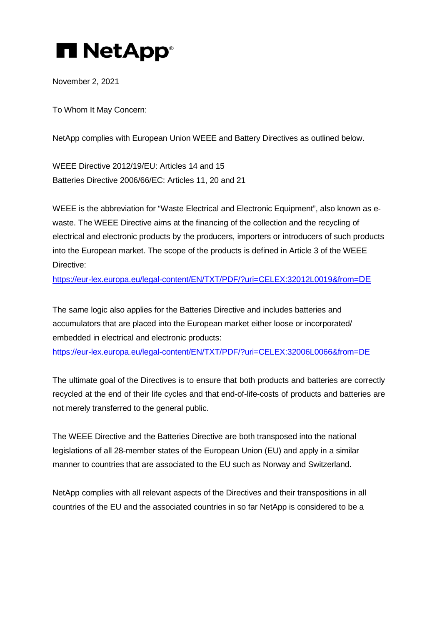## **H** NetApp®

November 2, 2021

To Whom It May Concern:

NetApp complies with European Union WEEE and Battery Directives as outlined below.

WEEE Directive 2012/19/EU: Articles 14 and 15 Batteries Directive 2006/66/EC: Articles 11, 20 and 21

WEEE is the abbreviation for "Waste Electrical and Electronic Equipment", also known as ewaste. The WEEE Directive aims at the financing of the collection and the recycling of electrical and electronic products by the producers, importers or introducers of such products into the European market. The scope of the products is defined in Article 3 of the WEEE Directive:

[https://eur-lex.europa.eu/legal-content/EN/TXT/PDF/?uri=CELEX:32012L0019&from=DE](https://eur-lex.europa.eu/legal-content/EN/TXT/PDF/?uri=CELEX%3A32012L0019&from=DE)

The same logic also applies for the Batteries Directive and includes batteries and accumulators that are placed into the European market either loose or incorporated/ embedded in electrical and electronic products: [https://eur-lex.europa.eu/legal-content/EN/TXT/PDF/?uri=CELEX:32006L0066&from=DE](https://eur-lex.europa.eu/legal-content/EN/TXT/PDF/?uri=CELEX%3A32006L0066&from=DE)

The ultimate goal of the Directives is to ensure that both products and batteries are correctly recycled at the end of their life cycles and that end-of-life-costs of products and batteries are not merely transferred to the general public.

The WEEE Directive and the Batteries Directive are both transposed into the national legislations of all 28-member states of the European Union (EU) and apply in a similar manner to countries that are associated to the EU such as Norway and Switzerland.

NetApp complies with all relevant aspects of the Directives and their transpositions in all countries of the EU and the associated countries in so far NetApp is considered to be a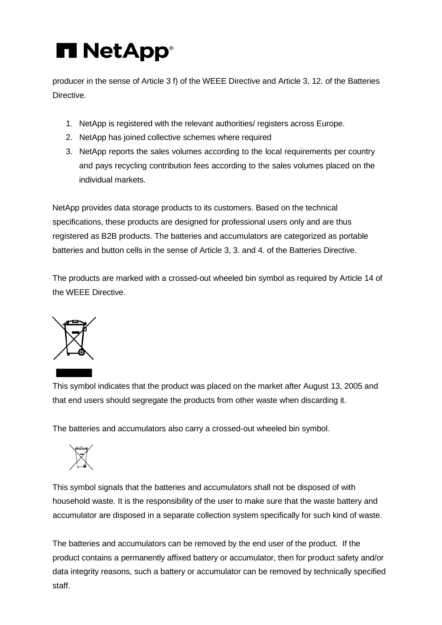## **H** NetApp®

producer in the sense of Article 3 f) of the WEEE Directive and Article 3, 12. of the Batteries Directive.

- 1. NetApp is registered with the relevant authorities/ registers across Europe.
- 2. NetApp has joined collective schemes where required
- 3. NetApp reports the sales volumes according to the local requirements per country and pays recycling contribution fees according to the sales volumes placed on the individual markets.

NetApp provides data storage products to its customers. Based on the technical specifications, these products are designed for professional users only and are thus registered as B2B products. The batteries and accumulators are categorized as portable batteries and button cells in the sense of Article 3, 3. and 4. of the Batteries Directive.

The products are marked with a crossed-out wheeled bin symbol as required by Article 14 of the WEEE Directive.



This symbol indicates that the product was placed on the market after August 13, 2005 and that end users should segregate the products from other waste when discarding it.

The batteries and accumulators also carry a crossed-out wheeled bin symbol.



This symbol signals that the batteries and accumulators shall not be disposed of with household waste. It is the responsibility of the user to make sure that the waste battery and accumulator are disposed in a separate collection system specifically for such kind of waste.

The batteries and accumulators can be removed by the end user of the product. If the product contains a permanently affixed battery or accumulator, then for product safety and/or data integrity reasons, such a battery or accumulator can be removed by technically specified staff.